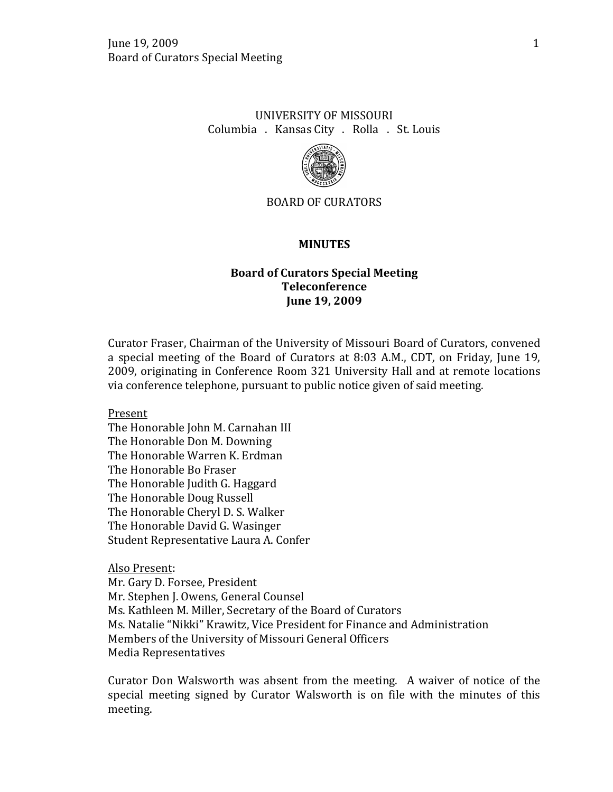## UNIVERSITY OF MISSOURI Columbia . Kansas City . Rolla . St. Louis



### BOARD OF CURATORS

#### **MINUTES**

## **Board of Curators Special Meeting Teleconference June 19, 2009**

Curator Fraser, Chairman of the University of Missouri Board of Curators, convened a special meeting of the Board of Curators at 8:03 A.M., CDT, on Friday, June 19, 2009, originating in Conference Room 321 University Hall and at remote locations via conference telephone, pursuant to public notice given of said meeting.

Present

The Honorable John M. Carnahan III The Honorable Don M. Downing The Honorable Warren K. Erdman The Honorable Bo Fraser The Honorable Judith G. Haggard The Honorable Doug Russell The Honorable Cheryl D. S. Walker The Honorable David G. Wasinger Student Representative Laura A. Confer

### Also Present:

Mr. Gary D. Forsee, President Mr. Stephen J. Owens, General Counsel Ms. Kathleen M. Miller, Secretary of the Board of Curators Ms. Natalie "Nikki" Krawitz, Vice President for Finance and Administration Members of the University of Missouri General Officers Media Representatives

Curator Don Walsworth was absent from the meeting. A waiver of notice of the special meeting signed by Curator Walsworth is on file with the minutes of this meeting.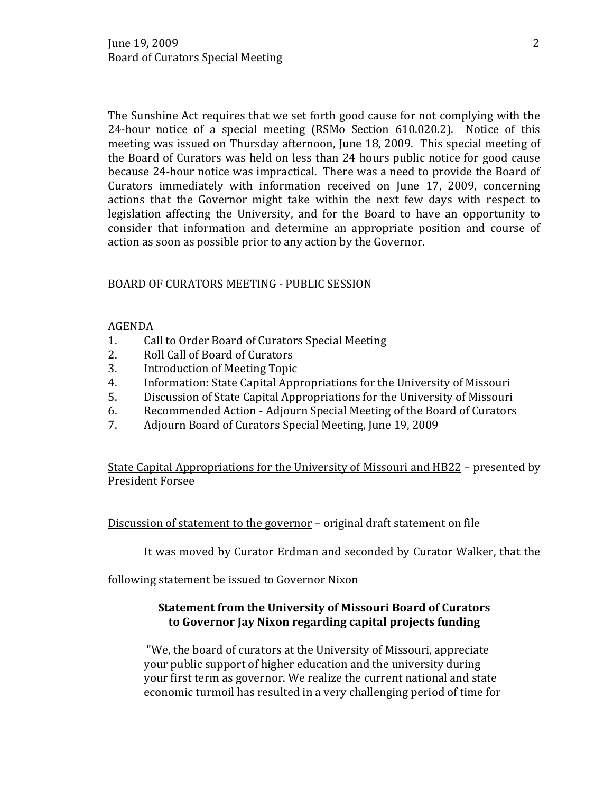The Sunshine Act requires that we set forth good cause for not complying with the 24-hour notice of a special meeting (RSMo Section 610.020.2). Notice of this meeting was issued on Thursday afternoon, June 18, 2009. This special meeting of the Board of Curators was held on less than 24 hours public notice for good cause because 24-hour notice was impractical. There was a need to provide the Board of Curators immediately with information received on June 17, 2009, concerning actions that the Governor might take within the next few days with respect to legislation affecting the University, and for the Board to have an opportunity to consider that information and determine an appropriate position and course of action as soon as possible prior to any action by the Governor.

## BOARD OF CURATORS MEETING - PUBLIC SESSION

# AGENDA<br>1. Ca

- 1. Call to Order Board of Curators Special Meeting<br>2. Roll Call of Board of Curators
- 2. Roll Call of Board of Curators<br>3. Introduction of Meeting Topic
- 3. Introduction of Meeting Topic<br>4. Information: State Capital Appi
- 4. Information: State Capital Appropriations for the University of Missouri<br>5. Discussion of State Capital Appropriations for the University of Missouri
- 5. Discussion of State Capital Appropriations for the University of Missouri<br>6. Recommended Action Adjourn Special Meeting of the Board of Curators
- 6. Recommended Action Adjourn Special Meeting of the Board of Curators<br>7. Adiourn Board of Curators Special Meeting. June 19. 2009
- 7. Adjourn Board of Curators Special Meeting, June 19, 2009

State Capital Appropriations for the University of Missouri and HB22 – presented by President Forsee

Discussion of statement to the governor – original draft statement on file

It was moved by Curator Erdman and seconded by Curator Walker, that the

following statement be issued to Governor Nixon

## **Statement from the University of Missouri Board of Curators to Governor Jay Nixon regarding capital projects funding**

"We, the board of curators at the University of Missouri, appreciate your public support of higher education and the university during your first term as governor. We realize the current national and state economic turmoil has resulted in a very challenging period of time for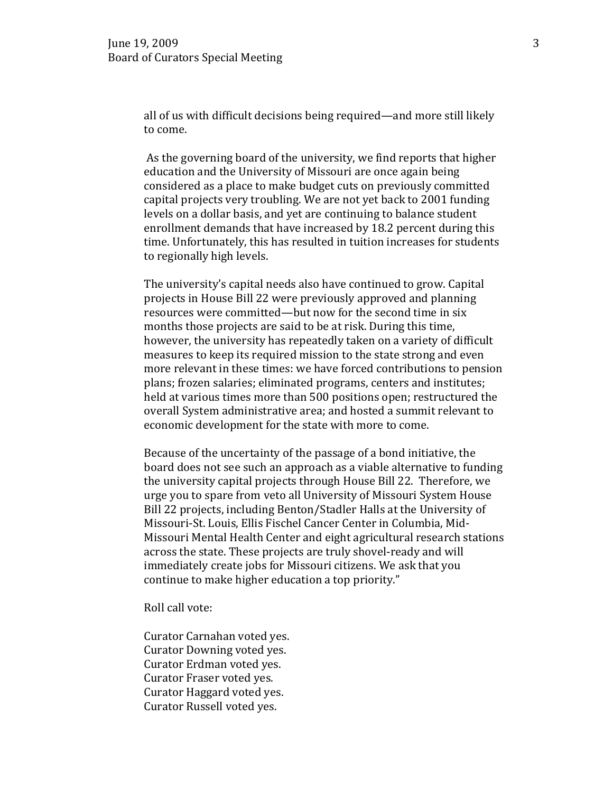all of us with difficult decisions being required—and more still likely to come.

As the governing board of the university, we find reports that higher education and the University of Missouri are once again being considered as a place to make budget cuts on previously committed capital projects very troubling. We are not yet back to 2001 funding levels on a dollar basis, and yet are continuing to balance student enrollment demands that have increased by 18.2 percent during this time. Unfortunately, this has resulted in tuition increases for students to regionally high levels.

The university's capital needs also have continued to grow. Capital projects in House Bill 22 were previously approved and planning resources were committed—but now for the second time in six months those projects are said to be at risk. During this time, however, the university has repeatedly taken on a variety of difficult measures to keep its required mission to the state strong and even more relevant in these times: we have forced contributions to pension plans; frozen salaries; eliminated programs, centers and institutes; held at various times more than 500 positions open; restructured the overall System administrative area; and hosted a summit relevant to economic development for the state with more to come.

Because of the uncertainty of the passage of a bond initiative, the board does not see such an approach as a viable alternative to funding the university capital projects through House Bill 22. Therefore, we urge you to spare from veto all University of Missouri System House Bill 22 projects, including Benton/Stadler Halls at the University of Missouri-St. Louis, Ellis Fischel Cancer Center in Columbia, Mid-Missouri Mental Health Center and eight agricultural research stations across the state. These projects are truly shovel-ready and will immediately create jobs for Missouri citizens. We ask that you continue to make higher education a top priority."

Roll call vote:

Curator Carnahan voted yes. Curator Downing voted yes. Curator Erdman voted yes. Curator Fraser voted yes. Curator Haggard voted yes. Curator Russell voted yes.